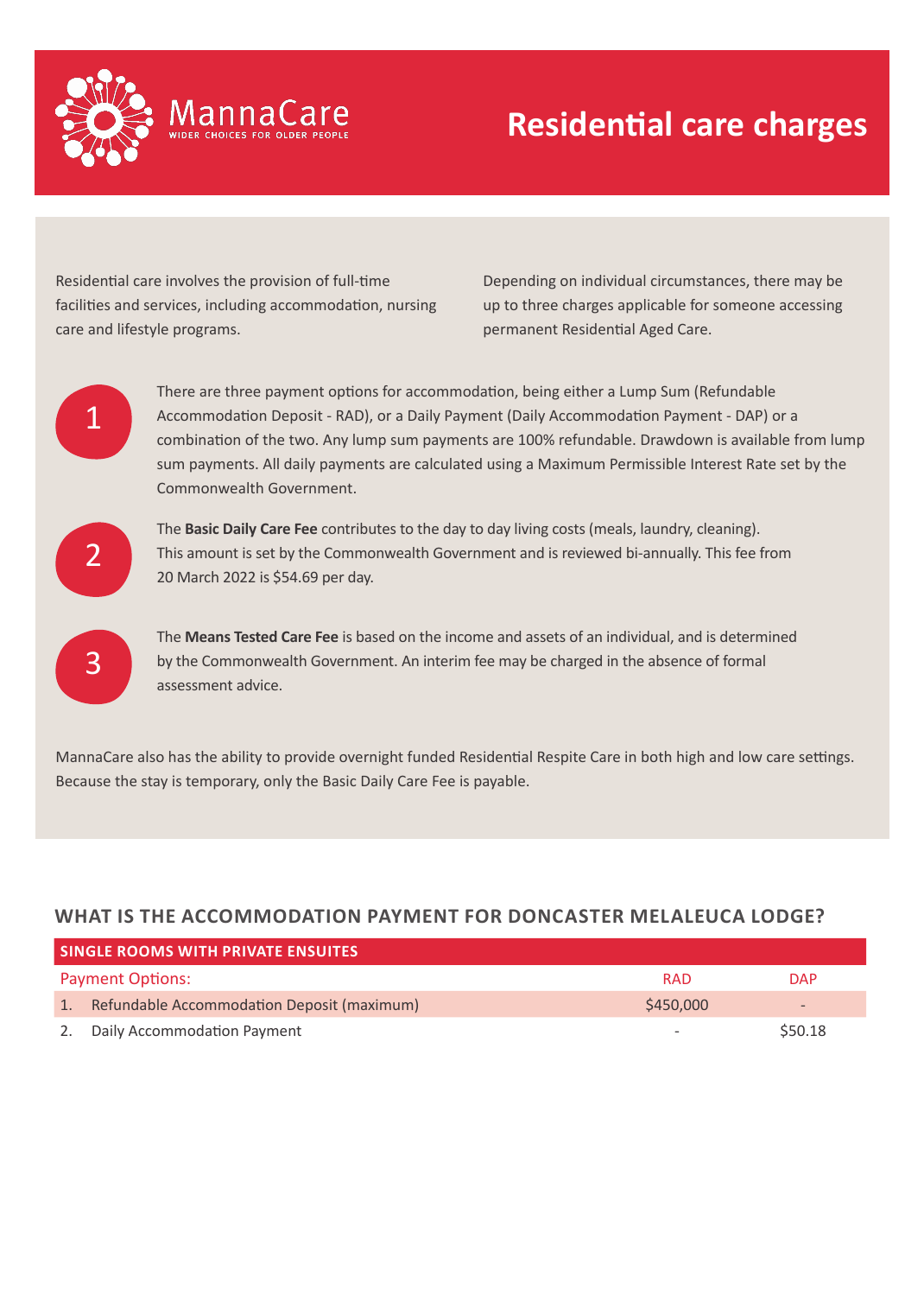

Residential care involves the provision of full-time facilities and services, including accommodation, nursing care and lifestyle programs.

Depending on individual circumstances, there may be up to three charges applicable for someone accessing permanent Residential Aged Care.



There are three payment options for accommodation, being either a Lump Sum (Refundable Accommodation Deposit - RAD), or a Daily Payment (Daily Accommodation Payment - DAP) or a combination of the two. Any lump sum payments are 100% refundable. Drawdown is available from lump sum payments. All daily payments are calculated using a Maximum Permissible Interest Rate set by the Commonwealth Government.



3

The **Basic Daily Care Fee** contributes to the day to day living costs (meals, laundry, cleaning). This amount is set by the Commonwealth Government and is reviewed bi-annually. This fee from 20 March 2022 is \$54.69 per day.

The **Means Tested Care Fee** is based on the income and assets of an individual, and is determined by the Commonwealth Government. An interim fee may be charged in the absence of formal assessment advice.

MannaCare also has the ability to provide overnight funded Residential Respite Care in both high and low care settings. Because the stay is temporary, only the Basic Daily Care Fee is payable.

## **WHAT IS THE ACCOMMODATION PAYMENT FOR DONCASTER MELALEUCA LODGE?**

| <b>SINGLE ROOMS WITH PRIVATE ENSUITES</b> |                                               |           |            |
|-------------------------------------------|-----------------------------------------------|-----------|------------|
| <b>Payment Options:</b><br><b>RAD</b>     |                                               |           | <b>DAP</b> |
|                                           | 1. Refundable Accommodation Deposit (maximum) | \$450,000 |            |
|                                           | 2. Daily Accommodation Payment                |           | \$50.18    |